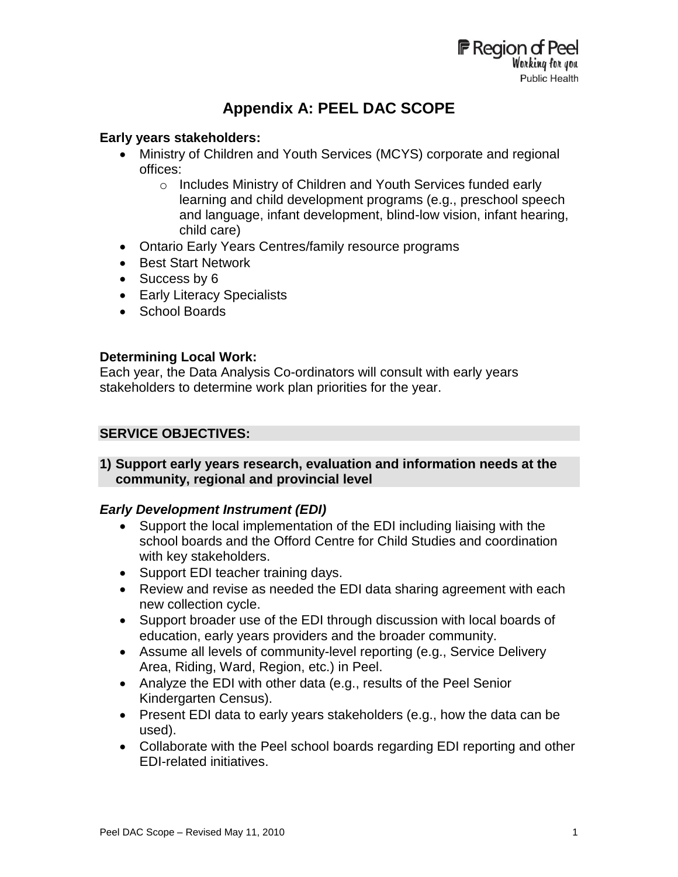# **Appendix A: PEEL DAC SCOPE**

# **Early years stakeholders:**

- Ministry of Children and Youth Services (MCYS) corporate and regional offices:
	- o Includes Ministry of Children and Youth Services funded early learning and child development programs (e.g., preschool speech and language, infant development, blind-low vision, infant hearing, child care)
- Ontario Early Years Centres/family resource programs
- Best Start Network
- Success by 6
- Early Literacy Specialists
- School Boards

# **Determining Local Work:**

Each year, the Data Analysis Co-ordinators will consult with early years stakeholders to determine work plan priorities for the year.

# **SERVICE OBJECTIVES:**

# **1) Support early years research, evaluation and information needs at the community, regional and provincial level**

# *Early Development Instrument (EDI)*

- Support the local implementation of the EDI including liaising with the school boards and the Offord Centre for Child Studies and coordination with key stakeholders.
- Support EDI teacher training days.
- Review and revise as needed the EDI data sharing agreement with each new collection cycle.
- Support broader use of the EDI through discussion with local boards of education, early years providers and the broader community.
- Assume all levels of community-level reporting (e.g., Service Delivery Area, Riding, Ward, Region, etc.) in Peel.
- Analyze the EDI with other data (e.g., results of the Peel Senior Kindergarten Census).
- Present EDI data to early years stakeholders (e.g., how the data can be used).
- Collaborate with the Peel school boards regarding EDI reporting and other EDI-related initiatives.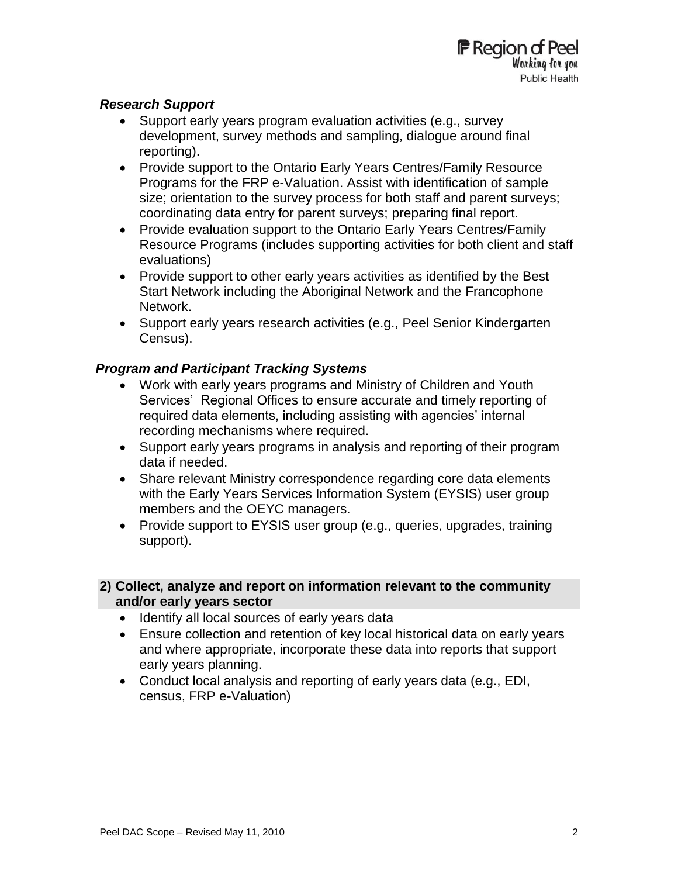# *Research Support*

- Support early years program evaluation activities (e.g., survey development, survey methods and sampling, dialogue around final reporting).
- Provide support to the Ontario Early Years Centres/Family Resource Programs for the FRP e-Valuation. Assist with identification of sample size; orientation to the survey process for both staff and parent surveys; coordinating data entry for parent surveys; preparing final report.
- Provide evaluation support to the Ontario Early Years Centres/Family Resource Programs (includes supporting activities for both client and staff evaluations)
- Provide support to other early years activities as identified by the Best Start Network including the Aboriginal Network and the Francophone Network.
- Support early years research activities (e.g., Peel Senior Kindergarten Census).

# *Program and Participant Tracking Systems*

- Work with early years programs and Ministry of Children and Youth Services' Regional Offices to ensure accurate and timely reporting of required data elements, including assisting with agencies' internal recording mechanisms where required.
- Support early years programs in analysis and reporting of their program data if needed.
- Share relevant Ministry correspondence regarding core data elements with the Early Years Services Information System (EYSIS) user group members and the OEYC managers.
- Provide support to EYSIS user group (e.g., queries, upgrades, training support).

# **2) Collect, analyze and report on information relevant to the community and/or early years sector**

- Identify all local sources of early years data
- Ensure collection and retention of key local historical data on early years and where appropriate, incorporate these data into reports that support early years planning.
- Conduct local analysis and reporting of early years data (e.g., EDI, census, FRP e-Valuation)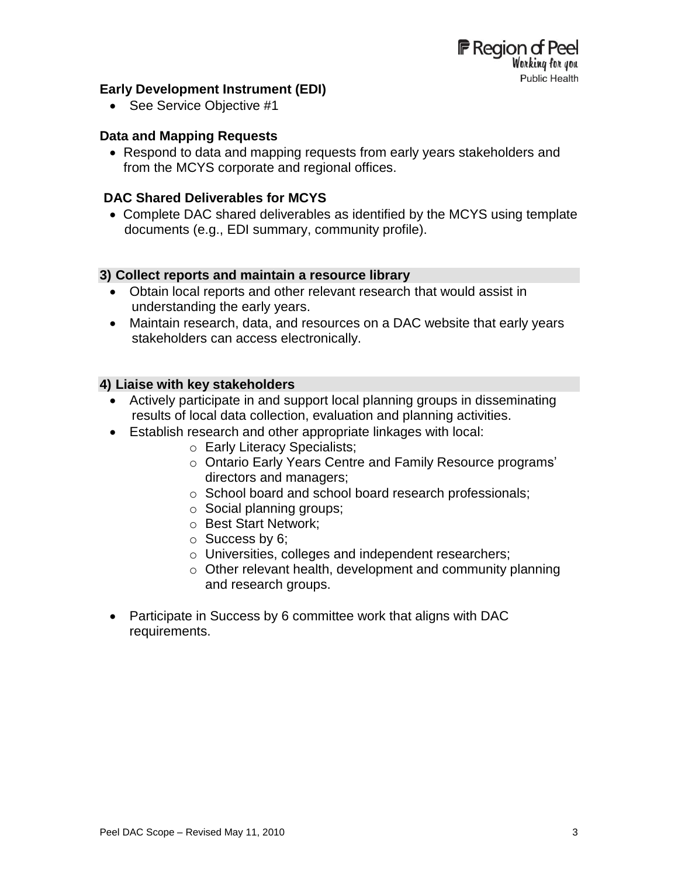# **Early Development Instrument (EDI)**

• See Service Objective #1

#### **Data and Mapping Requests**

 Respond to data and mapping requests from early years stakeholders and from the MCYS corporate and regional offices.

### **DAC Shared Deliverables for MCYS**

 Complete DAC shared deliverables as identified by the MCYS using template documents (e.g., EDI summary, community profile).

#### **3) Collect reports and maintain a resource library**

- Obtain local reports and other relevant research that would assist in understanding the early years.
- Maintain research, data, and resources on a DAC website that early years stakeholders can access electronically.

#### **4) Liaise with key stakeholders**

- Actively participate in and support local planning groups in disseminating results of local data collection, evaluation and planning activities.
- Establish research and other appropriate linkages with local:
	- o Early Literacy Specialists;
	- o Ontario Early Years Centre and Family Resource programs' directors and managers;
	- o School board and school board research professionals;
	- o Social planning groups;
	- o Best Start Network;
	- o Success by 6;
	- o Universities, colleges and independent researchers;
	- $\circ$  Other relevant health, development and community planning and research groups.
- Participate in Success by 6 committee work that aligns with DAC requirements.